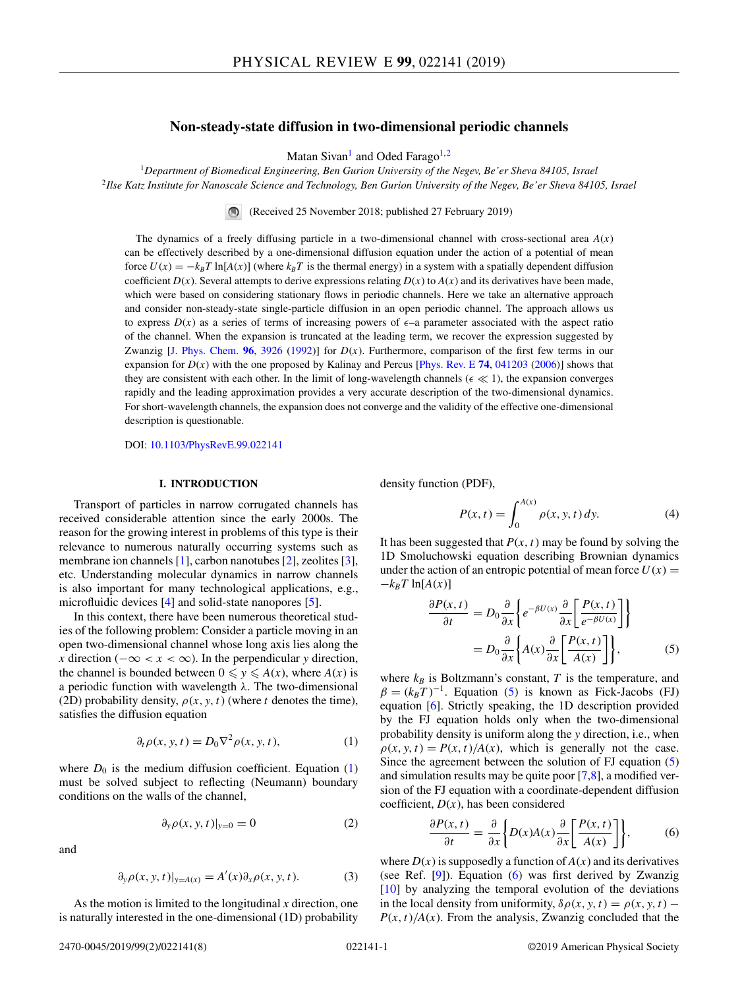# **Non-steady-state diffusion in two-dimensional periodic channels**

Matan Sivan<sup>1</sup> and Oded Farago<sup>1,2</sup>

<span id="page-0-0"></span><sup>1</sup>*Department of Biomedical Engineering, Ben Gurion University of the Negev, Be'er Sheva 84105, Israel* <sup>2</sup>*Ilse Katz Institute for Nanoscale Science and Technology, Ben Gurion University of the Negev, Be'er Sheva 84105, Israel*

> (Received 25 November 2018; published 27 February 2019)  $\bigcirc$

The dynamics of a freely diffusing particle in a two-dimensional channel with cross-sectional area *A*(*x*) can be effectively described by a one-dimensional diffusion equation under the action of a potential of mean force  $U(x) = -k_BT \ln[A(x)]$  (where  $k_BT$  is the thermal energy) in a system with a spatially dependent diffusion coefficient  $D(x)$ . Several attempts to derive expressions relating  $D(x)$  to  $A(x)$  and its derivatives have been made, which were based on considering stationary flows in periodic channels. Here we take an alternative approach and consider non-steady-state single-particle diffusion in an open periodic channel. The approach allows us to express  $D(x)$  as a series of terms of increasing powers of  $\epsilon$ -a parameter associated with the aspect ratio of the channel. When the expansion is truncated at the leading term, we recover the expression suggested by Zwanzig [\[J. Phys. Chem.](https://doi.org/10.1021/j100189a004)  $96$ , [3926](https://doi.org/10.1021/j100189a004) [\(1992\)](https://doi.org/10.1021/j100189a004)] for  $D(x)$ . Furthermore, comparison of the first few terms in our expansion for *D*(*x*) with the one proposed by Kalinay and Percus [\[Phys. Rev. E](https://doi.org/10.1103/PhysRevE.74.041203) **[74](https://doi.org/10.1103/PhysRevE.74.041203)**, [041203](https://doi.org/10.1103/PhysRevE.74.041203) [\(2006\)](https://doi.org/10.1103/PhysRevE.74.041203)] shows that they are consistent with each other. In the limit of long-wavelength channels ( $\epsilon \ll 1$ ), the expansion converges rapidly and the leading approximation provides a very accurate description of the two-dimensional dynamics. For short-wavelength channels, the expansion does not converge and the validity of the effective one-dimensional description is questionable.

DOI: [10.1103/PhysRevE.99.022141](https://doi.org/10.1103/PhysRevE.99.022141)

### **I. INTRODUCTION**

Transport of particles in narrow corrugated channels has received considerable attention since the early 2000s. The reason for the growing interest in problems of this type is their relevance to numerous naturally occurring systems such as membrane ion channels [\[1\]](#page-7-0), carbon nanotubes [\[2\]](#page-7-0), zeolites [\[3\]](#page-7-0), etc. Understanding molecular dynamics in narrow channels is also important for many technological applications, e.g., microfluidic devices [\[4\]](#page-7-0) and solid-state nanopores [\[5\]](#page-7-0).

In this context, there have been numerous theoretical studies of the following problem: Consider a particle moving in an open two-dimensional channel whose long axis lies along the *x* direction ( $-\infty < x < \infty$ ). In the perpendicular *y* direction, the channel is bounded between  $0 \leq y \leq A(x)$ , where  $A(x)$  is a periodic function with wavelength  $\lambda$ . The two-dimensional (2D) probability density,  $\rho(x, y, t)$  (where *t* denotes the time), satisfies the diffusion equation

$$
\partial_t \rho(x, y, t) = D_0 \nabla^2 \rho(x, y, t), \tag{1}
$$

where  $D_0$  is the medium diffusion coefficient. Equation  $(1)$ must be solved subject to reflecting (Neumann) boundary conditions on the walls of the channel,

$$
\partial_y \rho(x, y, t)|_{y=0} = 0 \tag{2}
$$

and

$$
\partial_y \rho(x, y, t)|_{y = A(x)} = A'(x) \partial_x \rho(x, y, t). \tag{3}
$$

As the motion is limited to the longitudinal *x* direction, one is naturally interested in the one-dimensional (1D) probability

density function (PDF),

$$
P(x,t) = \int_0^{A(x)} \rho(x, y, t) \, dy. \tag{4}
$$

It has been suggested that  $P(x, t)$  may be found by solving the 1D Smoluchowski equation describing Brownian dynamics under the action of an entropic potential of mean force  $U(x) =$  $-k_BT$  ln[ $A(x)$ ]

$$
\frac{\partial P(x,t)}{\partial t} = D_0 \frac{\partial}{\partial x} \left\{ e^{-\beta U(x)} \frac{\partial}{\partial x} \left[ \frac{P(x,t)}{e^{-\beta U(x)}} \right] \right\}
$$

$$
= D_0 \frac{\partial}{\partial x} \left\{ A(x) \frac{\partial}{\partial x} \left[ \frac{P(x,t)}{A(x)} \right] \right\}, \tag{5}
$$

where  $k_B$  is Boltzmann's constant,  $T$  is the temperature, and  $\beta = (k_B T)^{-1}$ . Equation (5) is known as Fick-Jacobs (FJ) equation [\[6\]](#page-7-0). Strictly speaking, the 1D description provided by the FJ equation holds only when the two-dimensional probability density is uniform along the *y* direction, i.e., when  $\rho(x, y, t) = P(x, t)/A(x)$ , which is generally not the case. Since the agreement between the solution of FJ equation (5) and simulation results may be quite poor [\[7,8\]](#page-7-0), a modified version of the FJ equation with a coordinate-dependent diffusion coefficient, *D*(*x*), has been considered

$$
\frac{\partial P(x,t)}{\partial t} = \frac{\partial}{\partial x} \bigg\{ D(x)A(x) \frac{\partial}{\partial x} \bigg[ \frac{P(x,t)}{A(x)} \bigg] \bigg\},\tag{6}
$$

where  $D(x)$  is supposedly a function of  $A(x)$  and its derivatives (see Ref. [\[9\]](#page-7-0)). Equation (6) was first derived by Zwanzig [\[10\]](#page-7-0) by analyzing the temporal evolution of the deviations in the local density from uniformity,  $\delta \rho(x, y, t) = \rho(x, y, t) - t$  $P(x, t)$ /*A*(*x*). From the analysis, Zwanzig concluded that the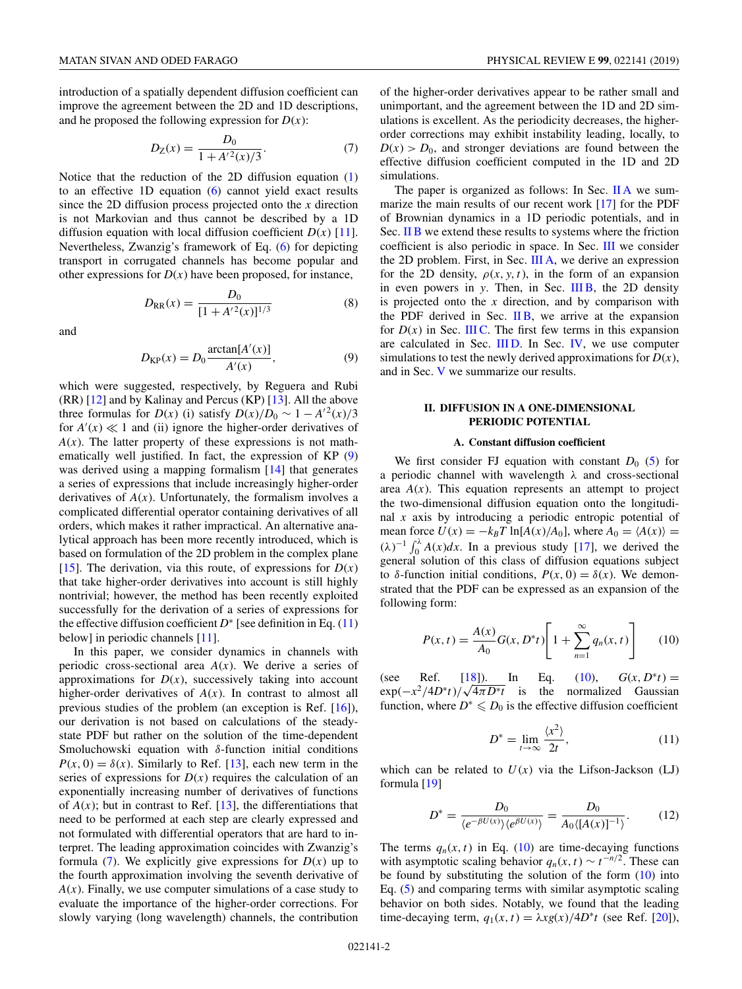<span id="page-1-0"></span>introduction of a spatially dependent diffusion coefficient can improve the agreement between the 2D and 1D descriptions, and he proposed the following expression for  $D(x)$ :

$$
D_Z(x) = \frac{D_0}{1 + A'^2(x)/3}.
$$
 (7)

Notice that the reduction of the 2D diffusion equation [\(1\)](#page-0-0) to an effective 1D equation [\(6\)](#page-0-0) cannot yield exact results since the 2D diffusion process projected onto the *x* direction is not Markovian and thus cannot be described by a 1D diffusion equation with local diffusion coefficient  $D(x)$  [\[11\]](#page-7-0). Nevertheless, Zwanzig's framework of Eq. [\(6\)](#page-0-0) for depicting transport in corrugated channels has become popular and other expressions for  $D(x)$  have been proposed, for instance,

$$
D_{\rm RR}(x) = \frac{D_0}{[1 + A'^2(x)]^{1/3}}
$$
(8)

and

$$
D_{\text{KP}}(x) = D_0 \frac{\arctan[A'(x)]}{A'(x)},\tag{9}
$$

which were suggested, respectively, by Reguera and Rubi  $(RR)$  [\[12\]](#page-7-0) and by Kalinay and Percus  $(KP)$  [\[13\]](#page-7-0). All the above three formulas for *D*(*x*) (i) satisfy  $D(x)/D_0 \sim 1 - A'^2(x)/3$ for  $A'(x) \ll 1$  and (ii) ignore the higher-order derivatives of  $A(x)$ . The latter property of these expressions is not mathematically well justified. In fact, the expression of KP (9) was derived using a mapping formalism [\[14\]](#page-7-0) that generates a series of expressions that include increasingly higher-order derivatives of  $A(x)$ . Unfortunately, the formalism involves a complicated differential operator containing derivatives of all orders, which makes it rather impractical. An alternative analytical approach has been more recently introduced, which is based on formulation of the 2D problem in the complex plane [\[15\]](#page-7-0). The derivation, via this route, of expressions for  $D(x)$ that take higher-order derivatives into account is still highly nontrivial; however, the method has been recently exploited successfully for the derivation of a series of expressions for the effective diffusion coefficient  $D^*$  [see definition in Eq. (11) below] in periodic channels [\[11\]](#page-7-0).

In this paper, we consider dynamics in channels with periodic cross-sectional area *A*(*x*). We derive a series of approximations for  $D(x)$ , successively taking into account higher-order derivatives of  $A(x)$ . In contrast to almost all previous studies of the problem (an exception is Ref. [\[16\]](#page-7-0)), our derivation is not based on calculations of the steadystate PDF but rather on the solution of the time-dependent Smoluchowski equation with δ-function initial conditions  $P(x, 0) = \delta(x)$ . Similarly to Ref. [\[13\]](#page-7-0), each new term in the series of expressions for  $D(x)$  requires the calculation of an exponentially increasing number of derivatives of functions of  $A(x)$ ; but in contrast to Ref. [\[13\]](#page-7-0), the differentiations that need to be performed at each step are clearly expressed and not formulated with differential operators that are hard to interpret. The leading approximation coincides with Zwanzig's formula  $(7)$ . We explicitly give expressions for  $D(x)$  up to the fourth approximation involving the seventh derivative of  $A(x)$ . Finally, we use computer simulations of a case study to evaluate the importance of the higher-order corrections. For slowly varying (long wavelength) channels, the contribution

of the higher-order derivatives appear to be rather small and unimportant, and the agreement between the 1D and 2D simulations is excellent. As the periodicity decreases, the higherorder corrections may exhibit instability leading, locally, to  $D(x) > D_0$ , and stronger deviations are found between the effective diffusion coefficient computed in the 1D and 2D simulations.

The paper is organized as follows: In Sec. II A we summarize the main results of our recent work [\[17\]](#page-7-0) for the PDF of Brownian dynamics in a 1D periodic potentials, and in Sec. [II B](#page-2-0) we extend these results to systems where the friction coefficient is also periodic in space. In Sec. [III](#page-2-0) we consider the 2D problem. First, in Sec. [III A,](#page-2-0) we derive an expression for the 2D density,  $\rho(x, y, t)$ , in the form of an expansion in even powers in *y*. Then, in Sec. [III B,](#page-3-0) the 2D density is projected onto the *x* direction, and by comparison with the PDF derived in Sec.  $\overline{I}$  IB, we arrive at the expansion for  $D(x)$  in Sec. [III C.](#page-3-0) The first few terms in this expansion are calculated in Sec. IIID. In Sec. [IV,](#page-5-0) we use computer simulations to test the newly derived approximations for  $D(x)$ , and in Sec. [V](#page-7-0) we summarize our results.

## **II. DIFFUSION IN A ONE-DIMENSIONAL PERIODIC POTENTIAL**

## **A. Constant diffusion coefficient**

We first consider FJ equation with constant  $D_0$  [\(5\)](#page-0-0) for a periodic channel with wavelength  $\lambda$  and cross-sectional area  $A(x)$ . This equation represents an attempt to project the two-dimensional diffusion equation onto the longitudinal *x* axis by introducing a periodic entropic potential of mean force  $U(x) = -k_B T \ln[A(x)/A_0]$ , where  $A_0 = \langle A(x) \rangle =$  $(\lambda)^{-1} \int_0^{\lambda} A(x) dx$ . In a previous study [\[17\]](#page-7-0), we derived the general solution of this class of diffusion equations subject to  $\delta$ -function initial conditions,  $P(x, 0) = \delta(x)$ . We demonstrated that the PDF can be expressed as an expansion of the following form:

$$
P(x,t) = \frac{A(x)}{A_0} G(x, D^*t) \left[ 1 + \sum_{n=1}^{\infty} q_n(x,t) \right]
$$
 (10)

(see Ref. [\[18\]](#page-7-0)). In Eq. (10),  $G(x, D^*t) =$  $\exp(-x^2/4D^*t)/\sqrt{4\pi D^*t}$  is the normalized Gaussian function, where  $D^* \leq 0$  is the effective diffusion coefficient

$$
D^* = \lim_{t \to \infty} \frac{\langle x^2 \rangle}{2t},\tag{11}
$$

which can be related to  $U(x)$  via the Lifson-Jackson (LJ) formula [\[19\]](#page-7-0)

$$
D^* = \frac{D_0}{\langle e^{-\beta U(x)} \rangle \langle e^{\beta U(x)} \rangle} = \frac{D_0}{A_0 \langle [A(x)]^{-1} \rangle}.
$$
 (12)

The terms  $q_n(x, t)$  in Eq. (10) are time-decaying functions with asymptotic scaling behavior  $q_n(x, t) \sim t^{-n/2}$ . These can be found by substituting the solution of the form  $(10)$  into Eq. [\(5\)](#page-0-0) and comparing terms with similar asymptotic scaling behavior on both sides. Notably, we found that the leading time-decaying term,  $q_1(x, t) = \lambda x g(x) / 4D^* t$  (see Ref. [\[20\]](#page-7-0)),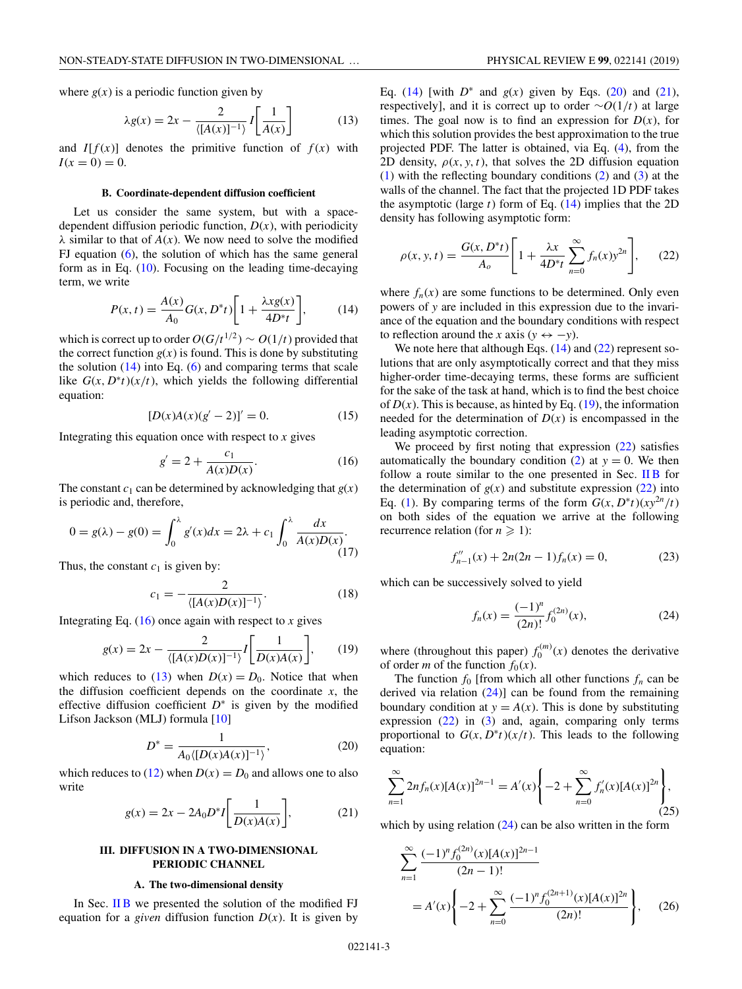<span id="page-2-0"></span>where  $g(x)$  is a periodic function given by

$$
\lambda g(x) = 2x - \frac{2}{\langle [A(x)]^{-1} \rangle} I \left[ \frac{1}{A(x)} \right] \tag{13}
$$

and  $I[f(x)]$  denotes the primitive function of  $f(x)$  with  $I(x = 0) = 0.$ 

#### **B. Coordinate-dependent diffusion coefficient**

Let us consider the same system, but with a spacedependent diffusion periodic function,  $D(x)$ , with periodicity  $\lambda$  similar to that of  $A(x)$ . We now need to solve the modified FJ equation  $(6)$ , the solution of which has the same general form as in Eq. [\(10\)](#page-1-0). Focusing on the leading time-decaying term, we write

$$
P(x,t) = \frac{A(x)}{A_0} G(x, D^*t) \left[ 1 + \frac{\lambda x g(x)}{4D^*t} \right],
$$
 (14)

which is correct up to order  $O(G/t^{1/2}) \sim O(1/t)$  provided that the correct function  $g(x)$  is found. This is done by substituting the solution  $(14)$  into Eq.  $(6)$  and comparing terms that scale like  $G(x, D^*t)(x/t)$ , which yields the following differential equation:

$$
[D(x)A(x)(g'-2)]' = 0.
$$
 (15)

Integrating this equation once with respect to  $x$  gives

$$
g' = 2 + \frac{c_1}{A(x)D(x)}.
$$
 (16)

The constant  $c_1$  can be determined by acknowledging that  $g(x)$ is periodic and, therefore,

$$
0 = g(\lambda) - g(0) = \int_0^{\lambda} g'(x) dx = 2\lambda + c_1 \int_0^{\lambda} \frac{dx}{A(x)D(x)}.
$$
\n(17)

Thus, the constant  $c_1$  is given by:

$$
c_1 = -\frac{2}{\langle [A(x)D(x)]^{-1} \rangle}.
$$
 (18)

Integrating Eq.  $(16)$  once again with respect to *x* gives

$$
g(x) = 2x - \frac{2}{\langle [A(x)D(x)]^{-1} \rangle} I\left[\frac{1}{D(x)A(x)}\right],\qquad(19)
$$

which reduces to (13) when  $D(x) = D_0$ . Notice that when the diffusion coefficient depends on the coordinate  $x$ , the effective diffusion coefficient *D*<sup>∗</sup> is given by the modified Lifson Jackson (MLJ) formula [\[10\]](#page-7-0)

$$
D^* = \frac{1}{A_0 \langle [D(x)A(x)]^{-1} \rangle},\tag{20}
$$

which reduces to [\(12\)](#page-1-0) when  $D(x) = D_0$  and allows one to also write

$$
g(x) = 2x - 2A_0 D^* I \left[ \frac{1}{D(x)A(x)} \right],
$$
 (21)

## **III. DIFFUSION IN A TWO-DIMENSIONAL PERIODIC CHANNEL**

### **A. The two-dimensional density**

In Sec. II B we presented the solution of the modified FJ equation for a *given* diffusion function  $D(x)$ . It is given by Eq. (14) [with  $D^*$  and  $g(x)$  given by Eqs. (20) and (21), respectively], and it is correct up to order ∼*O*(1/*t*) at large times. The goal now is to find an expression for  $D(x)$ , for which this solution provides the best approximation to the true projected PDF. The latter is obtained, via Eq. [\(4\)](#page-0-0), from the 2D density,  $\rho(x, y, t)$ , that solves the 2D diffusion equation [\(1\)](#page-0-0) with the reflecting boundary conditions [\(2\)](#page-0-0) and [\(3\)](#page-0-0) at the walls of the channel. The fact that the projected 1D PDF takes the asymptotic (large *t*) form of Eq. (14) implies that the 2D density has following asymptotic form:

$$
\rho(x, y, t) = \frac{G(x, D^*t)}{A_o} \left[ 1 + \frac{\lambda x}{4D^*t} \sum_{n=0}^{\infty} f_n(x) y^{2n} \right],
$$
 (22)

where  $f_n(x)$  are some functions to be determined. Only even powers of *y* are included in this expression due to the invariance of the equation and the boundary conditions with respect to reflection around the *x* axis ( $y \leftrightarrow -y$ ).

We note here that although Eqs.  $(14)$  and  $(22)$  represent solutions that are only asymptotically correct and that they miss higher-order time-decaying terms, these forms are sufficient for the sake of the task at hand, which is to find the best choice of  $D(x)$ . This is because, as hinted by Eq. (19), the information needed for the determination of  $D(x)$  is encompassed in the leading asymptotic correction.

We proceed by first noting that expression  $(22)$  satisfies automatically the boundary condition  $(2)$  at  $y = 0$ . We then follow a route similar to the one presented in Sec. II  $\overline{B}$  for the determination of  $g(x)$  and substitute expression  $(22)$  into Eq. [\(1\)](#page-0-0). By comparing terms of the form  $G(x, D^*t)(xy^{2n}/t)$ on both sides of the equation we arrive at the following recurrence relation (for  $n \ge 1$ ):

$$
f''_{n-1}(x) + 2n(2n-1)f_n(x) = 0,
$$
 (23)

which can be successively solved to yield

$$
f_n(x) = \frac{(-1)^n}{(2n)!} f_0^{(2n)}(x),\tag{24}
$$

where (throughout this paper)  $f_0^{(m)}(x)$  denotes the derivative of order *m* of the function  $f_0(x)$ .

The function  $f_0$  [from which all other functions  $f_n$  can be derived via relation  $(24)$ ] can be found from the remaining boundary condition at  $y = A(x)$ . This is done by substituting expression  $(22)$  in  $(3)$  and, again, comparing only terms proportional to  $G(x, D^*t)(x/t)$ . This leads to the following equation:

$$
\sum_{n=1}^{\infty} 2nf_n(x)[A(x)]^{2n-1} = A'(x)\left\{-2 + \sum_{n=0}^{\infty} f'_n(x)[A(x)]^{2n}\right\},\tag{25}
$$

which by using relation  $(24)$  can be also written in the form

$$
\sum_{n=1}^{\infty} \frac{(-1)^n f_0^{(2n)}(x)[A(x)]^{2n-1}}{(2n-1)!}
$$
  
=  $A'(x) \left\{ -2 + \sum_{n=0}^{\infty} \frac{(-1)^n f_0^{(2n+1)}(x)[A(x)]^{2n}}{(2n)!} \right\},$  (26)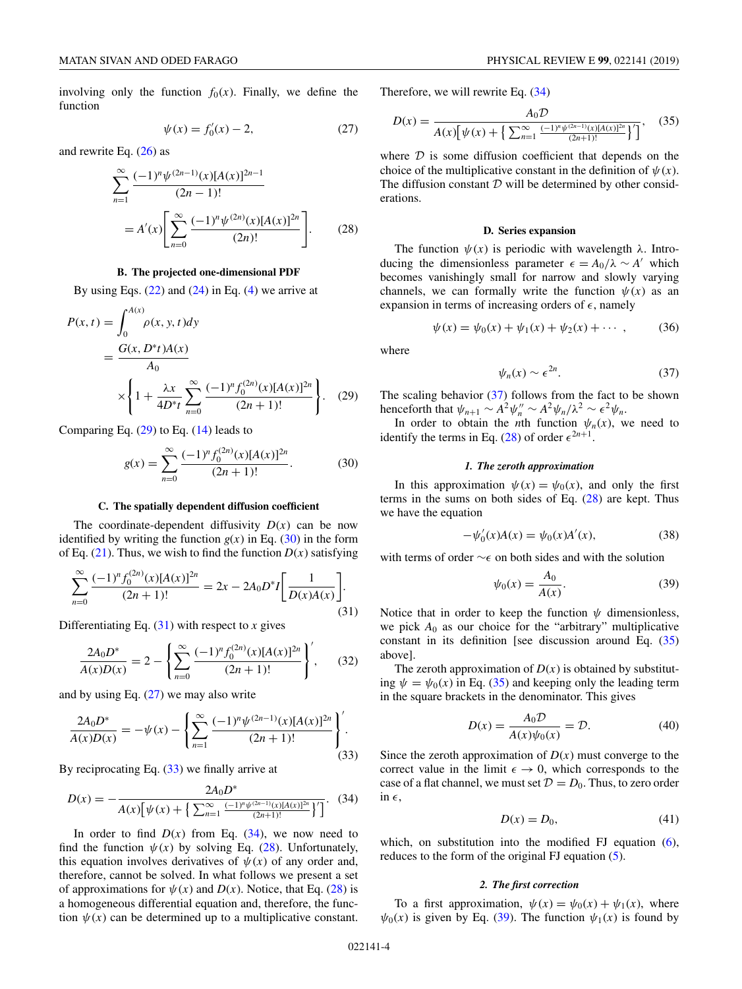<span id="page-3-0"></span>involving only the function  $f_0(x)$ . Finally, we define the function

$$
\psi(x) = f_0'(x) - 2,\tag{27}
$$

and rewrite Eq.  $(26)$  as

$$
\sum_{n=1}^{\infty} \frac{(-1)^n \psi^{(2n-1)}(x) [A(x)]^{2n-1}}{(2n-1)!}
$$
  
=  $A'(x) \left[ \sum_{n=0}^{\infty} \frac{(-1)^n \psi^{(2n)}(x) [A(x)]^{2n}}{(2n)!} \right].$  (28)

### **B. The projected one-dimensional PDF**

By using Eqs.  $(22)$  and  $(24)$  in Eq.  $(4)$  we arrive at

$$
P(x,t) = \int_0^{A(x)} \rho(x, y, t) dy
$$
  
= 
$$
\frac{G(x, D^*t)A(x)}{A_0}
$$
  

$$
\times \left\{ 1 + \frac{\lambda x}{4D^*t} \sum_{n=0}^{\infty} \frac{(-1)^n f_0^{(2n)}(x)[A(x)]^{2n}}{(2n+1)!} \right\}.
$$
 (29)

Comparing Eq.  $(29)$  to Eq.  $(14)$  leads to

$$
g(x) = \sum_{n=0}^{\infty} \frac{(-1)^n f_0^{(2n)}(x) [A(x)]^{2n}}{(2n+1)!}.
$$
 (30)

#### **C. The spatially dependent diffusion coefficient**

The coordinate-dependent diffusivity  $D(x)$  can be now identified by writing the function  $g(x)$  in Eq. (30) in the form of Eq.  $(21)$ . Thus, we wish to find the function  $D(x)$  satisfying

$$
\sum_{n=0}^{\infty} \frac{(-1)^n f_0^{(2n)}(x)[A(x)]^{2n}}{(2n+1)!} = 2x - 2A_0 D^* I \left[ \frac{1}{D(x)A(x)} \right].
$$
\n(31)

Differentiating Eq.  $(31)$  with respect to *x* gives

$$
\frac{2A_0 D^*}{A(x)D(x)} = 2 - \left\{ \sum_{n=0}^{\infty} \frac{(-1)^n f_0^{(2n)}(x) [A(x)]^{2n}}{(2n+1)!} \right\},\qquad(32)
$$

and by using Eq. (27) we may also write

$$
\frac{2A_0 D^*}{A(x)D(x)} = -\psi(x) - \left\{ \sum_{n=1}^{\infty} \frac{(-1)^n \psi^{(2n-1)}(x) [A(x)]^{2n}}{(2n+1)!} \right\}.
$$
\n(33)

By reciprocating Eq. (33) we finally arrive at

$$
D(x) = -\frac{2A_0 D^*}{A(x)\left[\psi(x) + \left\{\sum_{n=1}^{\infty} \frac{(-1)^n \psi^{(2n-1)}(x)[A(x)]^{2n}}{(2n+1)!}\right\}'\right]}.
$$
 (34)

In order to find  $D(x)$  from Eq.  $(34)$ , we now need to find the function  $\psi(x)$  by solving Eq. (28). Unfortunately, this equation involves derivatives of  $\psi(x)$  of any order and, therefore, cannot be solved. In what follows we present a set of approximations for  $\psi(x)$  and  $D(x)$ . Notice, that Eq. (28) is a homogeneous differential equation and, therefore, the function  $\psi(x)$  can be determined up to a multiplicative constant.

Therefore, we will rewrite Eq. (34)

$$
D(x) = \frac{A_0 \mathcal{D}}{A(x) \left[ \psi(x) + \left\{ \sum_{n=1}^{\infty} \frac{(-1)^n \psi^{(2n-1)}(x) [A(x)]^{2n}}{(2n+1)!} \right\}'} \right]},
$$
(35)

where  $D$  is some diffusion coefficient that depends on the choice of the multiplicative constant in the definition of  $\psi(x)$ . The diffusion constant  $D$  will be determined by other considerations.

#### **D. Series expansion**

The function  $\psi(x)$  is periodic with wavelength  $\lambda$ . Introducing the dimensionless parameter  $\epsilon = A_0/\lambda \sim A'$  which becomes vanishingly small for narrow and slowly varying channels, we can formally write the function  $\psi(x)$  as an expansion in terms of increasing orders of  $\epsilon$ , namely

$$
\psi(x) = \psi_0(x) + \psi_1(x) + \psi_2(x) + \cdots, \qquad (36)
$$

where

$$
\psi_n(x) \sim \epsilon^{2n}.\tag{37}
$$

The scaling behavior  $(37)$  follows from the fact to be shown henceforth that  $\psi_{n+1} \sim A^2 \psi_n'' \sim A^2 \psi_n / \lambda^2 \sim \epsilon^2 \psi_n$ .

In order to obtain the *n*th function  $\psi_n(x)$ , we need to identify the terms in Eq. (28) of order  $\epsilon^{2n+1}$ .

# *1. The zeroth approximation*

In this approximation  $\psi(x) = \psi_0(x)$ , and only the first terms in the sums on both sides of Eq. (28) are kept. Thus we have the equation

$$
-\psi_0'(x)A(x) = \psi_0(x)A'(x),
$$
\n(38)

with terms of order ∼ $\epsilon$  on both sides and with the solution

$$
\psi_0(x) = \frac{A_0}{A(x)}.\tag{39}
$$

Notice that in order to keep the function  $\psi$  dimensionless, we pick  $A_0$  as our choice for the "arbitrary" multiplicative constant in its definition [see discussion around Eq. (35) above].

The zeroth approximation of  $D(x)$  is obtained by substituting  $\psi = \psi_0(x)$  in Eq. (35) and keeping only the leading term in the square brackets in the denominator. This gives

$$
D(x) = \frac{A_0 \mathcal{D}}{A(x)\psi_0(x)} = \mathcal{D}.\tag{40}
$$

Since the zeroth approximation of  $D(x)$  must converge to the correct value in the limit  $\epsilon \to 0$ , which corresponds to the case of a flat channel, we must set  $D = D_0$ . Thus, to zero order in  $\epsilon$ ,

$$
D(x) = D_0,\tag{41}
$$

which, on substitution into the modified FJ equation  $(6)$ , reduces to the form of the original FJ equation  $(5)$ .

### *2. The first correction*

To a first approximation,  $\psi(x) = \psi_0(x) + \psi_1(x)$ , where  $\psi_0(x)$  is given by Eq. (39). The function  $\psi_1(x)$  is found by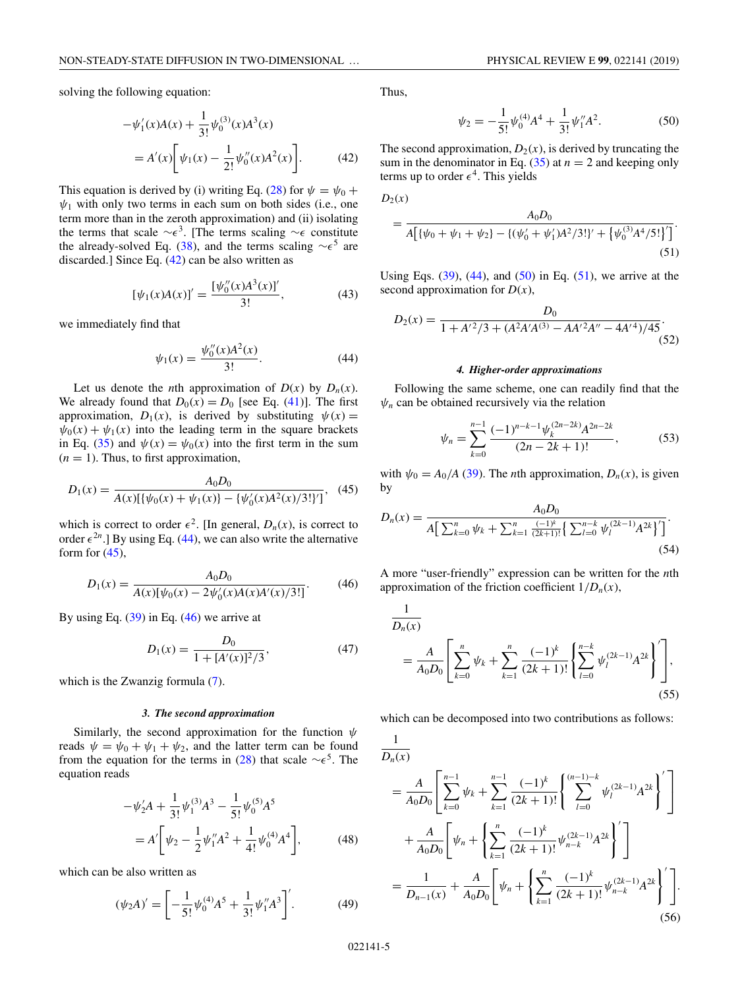<span id="page-4-0"></span>solving the following equation:

$$
-\psi_1'(x)A(x) + \frac{1}{3!} \psi_0^{(3)}(x)A^3(x)
$$
  
=  $A'(x) \bigg[ \psi_1(x) - \frac{1}{2!} \psi_0''(x)A^2(x) \bigg].$  (42)

This equation is derived by (i) writing Eq. [\(28\)](#page-3-0) for  $\psi = \psi_0 + \psi_0$  $\psi_1$  with only two terms in each sum on both sides (i.e., one term more than in the zeroth approximation) and (ii) isolating the terms that scale  $\sim \epsilon^3$ . [The terms scaling  $\sim \epsilon$  constitute the already-solved Eq. [\(38\)](#page-3-0), and the terms scaling  $\sim \epsilon^5$  are discarded.] Since Eq.  $(42)$  can be also written as

$$
[\psi_1(x)A(x)]' = \frac{[\psi_0''(x)A^3(x)]'}{3!},\tag{43}
$$

we immediately find that

$$
\psi_1(x) = \frac{\psi_0''(x)A^2(x)}{3!}.
$$
\n(44)

Let us denote the *n*th approximation of  $D(x)$  by  $D_n(x)$ . We already found that  $D_0(x) = D_0$  [see Eq. [\(41\)](#page-3-0)]. The first approximation,  $D_1(x)$ , is derived by substituting  $\psi(x) =$  $\psi_0(x) + \psi_1(x)$  into the leading term in the square brackets in Eq. [\(35\)](#page-3-0) and  $\psi(x) = \psi_0(x)$  into the first term in the sum  $(n = 1)$ . Thus, to first approximation,

$$
D_1(x) = \frac{A_0 D_0}{A(x)[\{\psi_0(x) + \psi_1(x)\} - \{\psi'_0(x)A^2(x)/3!\}]} , \quad (45)
$$

which is correct to order  $\epsilon^2$ . [In general,  $D_n(x)$ , is correct to order  $\epsilon^{2n}$ .] By using Eq. (44), we can also write the alternative form for  $(45)$ ,

$$
D_1(x) = \frac{A_0 D_0}{A(x)[\psi_0(x) - 2\psi_0'(x)A(x)A'(x)/3!]}. \tag{46}
$$

By using Eq.  $(39)$  in Eq.  $(46)$  we arrive at

$$
D_1(x) = \frac{D_0}{1 + [A'(x)]^2/3},\tag{47}
$$

which is the Zwanzig formula  $(7)$ .

### *3. The second approximation*

Similarly, the second approximation for the function  $\psi$ reads  $\psi = \psi_0 + \psi_1 + \psi_2$ , and the latter term can be found from the equation for the terms in [\(28\)](#page-3-0) that scale  $\sim \epsilon^5$ . The equation reads

$$
-\psi_2'A + \frac{1}{3!} \psi_1^{(3)} A^3 - \frac{1}{5!} \psi_0^{(5)} A^5
$$
  
=  $A' \bigg[ \psi_2 - \frac{1}{2} \psi_1'' A^2 + \frac{1}{4!} \psi_0^{(4)} A^4 \bigg],$  (48)

which can be also written as

$$
(\psi_2 A)' = \left[ -\frac{1}{5!} \psi_0^{(4)} A^5 + \frac{1}{3!} \psi_1'' A^3 \right]'.
$$
 (49)

Thus,

$$
\psi_2 = -\frac{1}{5!} \psi_0^{(4)} A^4 + \frac{1}{3!} \psi_1'' A^2.
$$
 (50)

The second approximation,  $D_2(x)$ , is derived by truncating the sum in the denominator in Eq.  $(35)$  at  $n = 2$  and keeping only terms up to order  $\epsilon^4$ . This yields

$$
D_2(x)
$$

$$
= \frac{A_0 D_0}{A[\{\psi_0 + \psi_1 + \psi_2\} - \{(\psi_0' + \psi_1')A^2/3!\}' + \{\psi_0^{(3)}A^4/5!\}']}.
$$
\n(51)

Using Eqs.  $(39)$ ,  $(44)$ , and  $(50)$  in Eq.  $(51)$ , we arrive at the second approximation for  $D(x)$ ,

$$
D_2(x) = \frac{D_0}{1 + A'^2/3 + (A^2 A' A^{(3)} - A A'^2 A'' - 4 A'^4)/45}.
$$
\n(52)

### *4. Higher-order approximations*

Following the same scheme, one can readily find that the  $\psi_n$  can be obtained recursively via the relation

$$
\psi_n = \sum_{k=0}^{n-1} \frac{(-1)^{n-k-1} \psi_k^{(2n-2k)} A^{2n-2k}}{(2n-2k+1)!},
$$
\n(53)

with  $\psi_0 = A_0/A$  [\(39\)](#page-3-0). The *n*th approximation,  $D_n(x)$ , is given by

$$
D_n(x) = \frac{A_0 D_0}{A \left[ \sum_{k=0}^n \psi_k + \sum_{k=1}^n \frac{(-1)^k}{(2k+1)!} \left\{ \sum_{l=0}^{n-k} \psi_l^{(2k-1)} A^{2k} \right\}^{\prime} \right]}.
$$
\n(54)

A more "user-friendly" expression can be written for the *n*th approximation of the friction coefficient  $1/D_n(x)$ ,

$$
\frac{1}{D_n(x)} = \frac{A}{A_0 D_0} \left[ \sum_{k=0}^n \psi_k + \sum_{k=1}^n \frac{(-1)^k}{(2k+1)!} \left\{ \sum_{l=0}^{n-k} \psi_l^{(2k-1)} A^{2k} \right\} \right],
$$
\n(55)

which can be decomposed into two contributions as follows:

$$
\frac{1}{D_n(x)} = \frac{A}{A_0 D_0} \left[ \sum_{k=0}^{n-1} \psi_k + \sum_{k=1}^{n-1} \frac{(-1)^k}{(2k+1)!} \left\{ \sum_{l=0}^{(n-1)-k} \psi_l^{(2k-1)} A^{2k} \right\}' \right] + \frac{A}{A_0 D_0} \left[ \psi_n + \left\{ \sum_{k=1}^n \frac{(-1)^k}{(2k+1)!} \psi_{n-k}^{(2k-1)} A^{2k} \right\}' \right] = \frac{1}{D_{n-1}(x)} + \frac{A}{A_0 D_0} \left[ \psi_n + \left\{ \sum_{k=1}^n \frac{(-1)^k}{(2k+1)!} \psi_{n-k}^{(2k-1)} A^{2k} \right\}' \right].
$$
\n(56)

1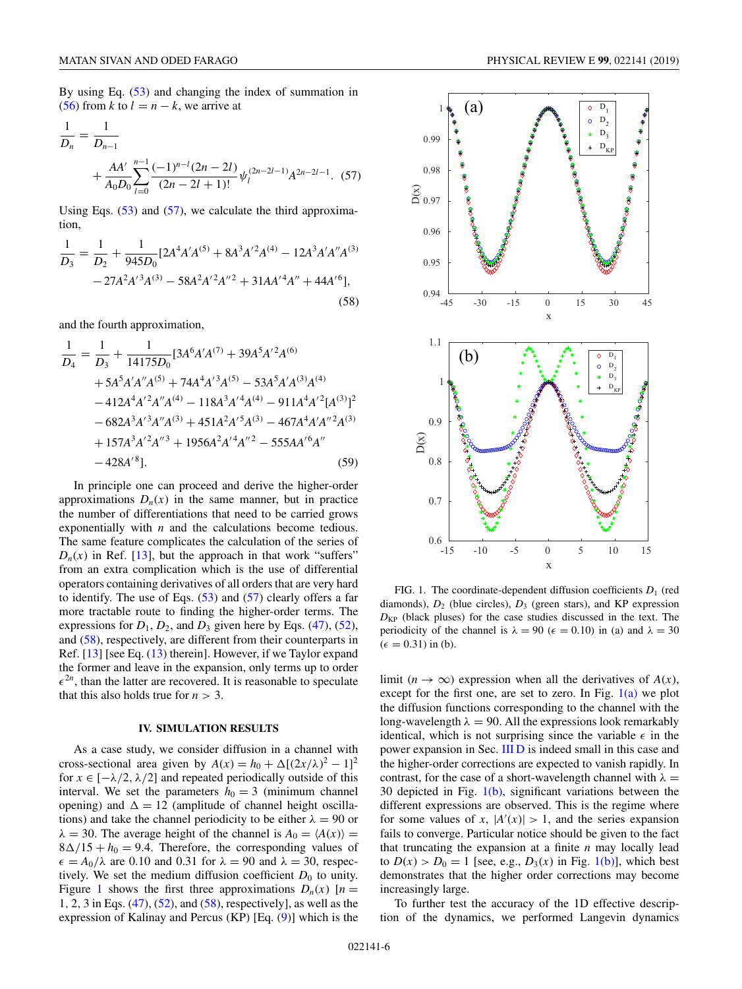<span id="page-5-0"></span>By using Eq. [\(53\)](#page-4-0) and changing the index of summation in [\(56\)](#page-4-0) from *k* to  $l = n - k$ , we arrive at

$$
\frac{1}{D_n} = \frac{1}{D_{n-1}}
$$
  
+ 
$$
\frac{AA'}{A_0 D_0} \sum_{l=0}^{n-1} \frac{(-1)^{n-l} (2n-2l)}{(2n-2l+1)!} \psi_l^{(2n-2l-1)} A^{2n-2l-1}.
$$
 (57)

Using Eqs.  $(53)$  and  $(57)$ , we calculate the third approximation,

$$
\frac{1}{D_3} = \frac{1}{D_2} + \frac{1}{945D_0} [2A^4 A'A^{(5)} + 8A^3 A'^2 A^{(4)} - 12A^3 A' A'' A^{(3)} - 27A^2 A'^3 A^{(3)} - 58A^2 A'^2 A''^2 + 31A A'^4 A'' + 44A'^6],
$$
\n(58)

and the fourth approximation,

$$
\frac{1}{D_4} = \frac{1}{D_3} + \frac{1}{14175D_0} [3A^6A'A^{(7)} + 39A^5A'^2A^{(6)}
$$
  
+ 5A<sup>5</sup>A'A''A^{(5)} + 74A<sup>4</sup>A'^3A^{(5)} - 53A<sup>5</sup>A'A^{(3)}A^{(4)}  
- 412A<sup>4</sup>A'^2A''A^{(4)} - 118A<sup>3</sup>A'^4A^{(4)} - 911A<sup>4</sup>A'^2[A^{(3)}]  
- 682A<sup>3</sup>A'^3A''A^{(3)} + 451A<sup>2</sup>A'^5A^{(3)} - 467A<sup>4</sup>A'A''<sup>2</sup>A^{(3)}  
+ 157A<sup>3</sup>A'^2A''<sup>3</sup> + 1956A<sup>2</sup>A'^4A''<sup>2</sup> - 555AA'^6A''  
- 428A'^8]. (59)

In principle one can proceed and derive the higher-order approximations  $D_n(x)$  in the same manner, but in practice the number of differentiations that need to be carried grows exponentially with *n* and the calculations become tedious. The same feature complicates the calculation of the series of  $D_n(x)$  in Ref. [\[13\]](#page-7-0), but the approach in that work "suffers" from an extra complication which is the use of differential operators containing derivatives of all orders that are very hard to identify. The use of Eqs.  $(53)$  and  $(57)$  clearly offers a far more tractable route to finding the higher-order terms. The expressions for  $D_1$ ,  $D_2$ , and  $D_3$  given here by Eqs. [\(47\)](#page-4-0), [\(52\)](#page-4-0), and (58), respectively, are different from their counterparts in Ref. [\[13\]](#page-7-0) [see Eq. [\(13\)](#page-2-0) therein]. However, if we Taylor expand the former and leave in the expansion, only terms up to order  $\epsilon^{2n}$ , than the latter are recovered. It is reasonable to speculate that this also holds true for  $n > 3$ .

### **IV. SIMULATION RESULTS**

As a case study, we consider diffusion in a channel with cross-sectional area given by  $A(x) = h_0 + \Delta[(2x/\lambda)^2 - 1]^2$ for  $x \in [-\lambda/2, \lambda/2]$  and repeated periodically outside of this interval. We set the parameters  $h_0 = 3$  (minimum channel opening) and  $\Delta = 12$  (amplitude of channel height oscillations) and take the channel periodicity to be either  $\lambda = 90$  or  $\lambda = 30$ . The average height of the channel is  $A_0 = \langle A(x) \rangle =$  $8\Delta/15 + h_0 = 9.4$ . Therefore, the corresponding values of  $\epsilon = A_0/\lambda$  are 0.10 and 0.31 for  $\lambda = 90$  and  $\lambda = 30$ , respectively. We set the medium diffusion coefficient  $D_0$  to unity. Figure 1 shows the first three approximations  $D_n(x)$  [ $n =$ 1, 2, 3 in Eqs. [\(47\)](#page-4-0), [\(52\)](#page-4-0), and (58), respectively], as well as the expression of Kalinay and Percus  $(KP)$  [Eq.  $(9)$ ] which is the



FIG. 1. The coordinate-dependent diffusion coefficients  $D_1$  (red diamonds), *D*<sup>2</sup> (blue circles), *D*<sup>3</sup> (green stars), and KP expression *D*KP (black pluses) for the case studies discussed in the text. The periodicity of the channel is  $\lambda = 90$  ( $\epsilon = 0.10$ ) in (a) and  $\lambda = 30$  $(\epsilon = 0.31)$  in (b).

limit ( $n \to \infty$ ) expression when all the derivatives of  $A(x)$ , except for the first one, are set to zero. In Fig.  $1(a)$  we plot the diffusion functions corresponding to the channel with the long-wavelength  $\lambda = 90$ . All the expressions look remarkably identical, which is not surprising since the variable  $\epsilon$  in the power expansion in Sec. [III D](#page-3-0) is indeed small in this case and the higher-order corrections are expected to vanish rapidly. In contrast, for the case of a short-wavelength channel with  $\lambda =$ 30 depicted in Fig.  $1(b)$ , significant variations between the different expressions are observed. This is the regime where for some values of *x*,  $|A'(x)| > 1$ , and the series expansion fails to converge. Particular notice should be given to the fact that truncating the expansion at a finite *n* may locally lead to  $D(x) > D_0 = 1$  [see, e.g.,  $D_3(x)$  in Fig. 1(b)], which best demonstrates that the higher order corrections may become increasingly large.

To further test the accuracy of the 1D effective description of the dynamics, we performed Langevin dynamics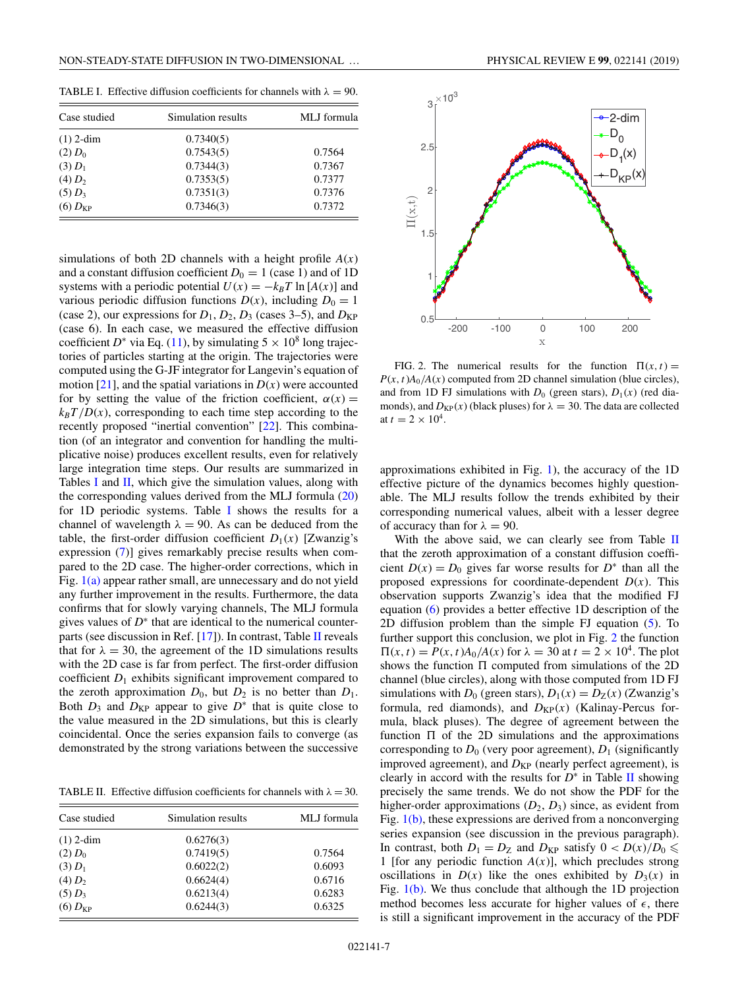TABLE I. Effective diffusion coefficients for channels with  $\lambda = 90$ .

| Case studied          | Simulation results | MLJ formula |
|-----------------------|--------------------|-------------|
| $(1)$ 2-dim           | 0.7340(5)          |             |
| $(2) D_0$             | 0.7543(5)          | 0.7564      |
| $(3) D_1$             | 0.7344(3)          | 0.7367      |
| $(4) D_2$             | 0.7353(5)          | 0.7377      |
| $(5) D_3$             | 0.7351(3)          | 0.7376      |
| $(6)$ $D_{\text{KP}}$ | 0.7346(3)          | 0.7372      |

simulations of both 2D channels with a height profile *A*(*x*) and a constant diffusion coefficient  $D_0 = 1$  (case 1) and of 1D systems with a periodic potential  $U(x) = -k_B T \ln [A(x)]$  and various periodic diffusion functions  $D(x)$ , including  $D_0 = 1$ (case 2), our expressions for  $D_1$ ,  $D_2$ ,  $D_3$  (cases 3–5), and  $D_{KP}$ (case 6). In each case, we measured the effective diffusion coefficient *D*<sup>\*</sup> via Eq. [\(11\)](#page-1-0), by simulating  $5 \times 10^8$  long trajectories of particles starting at the origin. The trajectories were computed using the G-JF integrator for Langevin's equation of motion [\[21\]](#page-7-0), and the spatial variations in  $D(x)$  were accounted for by setting the value of the friction coefficient,  $\alpha(x)$  =  $k_B T/D(x)$ , corresponding to each time step according to the recently proposed "inertial convention" [\[22\]](#page-7-0). This combination (of an integrator and convention for handling the multiplicative noise) produces excellent results, even for relatively large integration time steps. Our results are summarized in Tables I and II, which give the simulation values, along with the corresponding values derived from the MLJ formula [\(20\)](#page-2-0) for 1D periodic systems. Table I shows the results for a channel of wavelength  $\lambda = 90$ . As can be deduced from the table, the first-order diffusion coefficient  $D_1(x)$  [Zwanzig's expression [\(7\)](#page-1-0)] gives remarkably precise results when compared to the 2D case. The higher-order corrections, which in Fig.  $1(a)$  appear rather small, are unnecessary and do not yield any further improvement in the results. Furthermore, the data confirms that for slowly varying channels, The MLJ formula gives values of *D*<sup>∗</sup> that are identical to the numerical counterparts (see discussion in Ref. [\[17\]](#page-7-0)). In contrast, Table II reveals that for  $\lambda = 30$ , the agreement of the 1D simulations results with the 2D case is far from perfect. The first-order diffusion coefficient  $D_1$  exhibits significant improvement compared to the zeroth approximation  $D_0$ , but  $D_2$  is no better than  $D_1$ . Both  $D_3$  and  $D_{KP}$  appear to give  $D^*$  that is quite close to the value measured in the 2D simulations, but this is clearly coincidental. Once the series expansion fails to converge (as demonstrated by the strong variations between the successive

TABLE II. Effective diffusion coefficients for channels with  $\lambda = 30$ .

| Case studied          | Simulation results | MLJ formula |
|-----------------------|--------------------|-------------|
| $(1)$ 2-dim           | 0.6276(3)          |             |
| $(2) D_0$             | 0.7419(5)          | 0.7564      |
| $(3) D_1$             | 0.6022(2)          | 0.6093      |
| $(4) D_2$             | 0.6624(4)          | 0.6716      |
| $(5) D_3$             | 0.6213(4)          | 0.6283      |
| $(6)$ $D_{\text{KP}}$ | 0.6244(3)          | 0.6325      |



FIG. 2. The numerical results for the function  $\Pi(x, t) =$  $P(x, t)A_0/A(x)$  computed from 2D channel simulation (blue circles), and from 1D FJ simulations with  $D_0$  (green stars),  $D_1(x)$  (red diamonds), and  $D_{KP}(x)$  (black pluses) for  $\lambda = 30$ . The data are collected at  $t = 2 \times 10^4$ .

approximations exhibited in Fig. [1\)](#page-5-0), the accuracy of the 1D effective picture of the dynamics becomes highly questionable. The MLJ results follow the trends exhibited by their corresponding numerical values, albeit with a lesser degree of accuracy than for  $\lambda = 90$ .

With the above said, we can clearly see from Table II that the zeroth approximation of a constant diffusion coefficient  $D(x) = D_0$  gives far worse results for  $D^*$  than all the proposed expressions for coordinate-dependent  $D(x)$ . This observation supports Zwanzig's idea that the modified FJ equation [\(6\)](#page-0-0) provides a better effective 1D description of the 2D diffusion problem than the simple FJ equation [\(5\)](#page-0-0). To further support this conclusion, we plot in Fig. 2 the function  $\Pi(x, t) = P(x, t)A_0/A(x)$  for  $\lambda = 30$  at  $t = 2 \times 10^4$ . The plot shows the function  $\Pi$  computed from simulations of the 2D channel (blue circles), along with those computed from 1D FJ simulations with  $D_0$  (green stars),  $D_1(x) = D_Z(x)$  (Zwanzig's formula, red diamonds), and  $D_{KP}(x)$  (Kalinay-Percus formula, black pluses). The degree of agreement between the function  $\Pi$  of the 2D simulations and the approximations corresponding to  $D_0$  (very poor agreement),  $D_1$  (significantly improved agreement), and  $D_{KP}$  (nearly perfect agreement), is clearly in accord with the results for  $D^*$  in Table II showing precisely the same trends. We do not show the PDF for the higher-order approximations  $(D_2, D_3)$  since, as evident from Fig. [1\(b\),](#page-5-0) these expressions are derived from a nonconverging series expansion (see discussion in the previous paragraph). In contrast, both  $D_1 = D_Z$  and  $D_{KP}$  satisfy  $0 < D(x)/D_0 \leq$ 1 [for any periodic function  $A(x)$ ], which precludes strong oscillations in  $D(x)$  like the ones exhibited by  $D_3(x)$  in Fig. [1\(b\).](#page-5-0) We thus conclude that although the 1D projection method becomes less accurate for higher values of  $\epsilon$ , there is still a significant improvement in the accuracy of the PDF